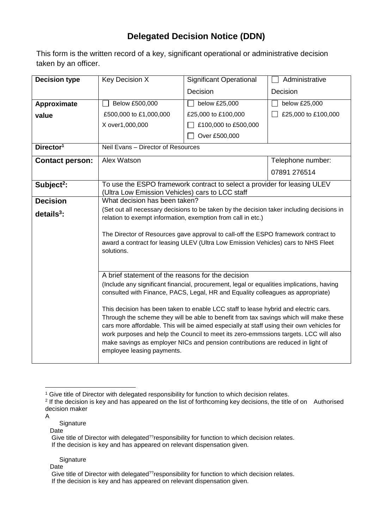## **Delegated Decision Notice (DDN)**

This form is the written record of a key, significant operational or administrative decision taken by an officer.

| <b>Decision type</b>   | Key Decision X                                                                                                                                                                                                                                                                                                                                                                                                                                                                      | <b>Significant Operational</b> | Administrative      |  |  |
|------------------------|-------------------------------------------------------------------------------------------------------------------------------------------------------------------------------------------------------------------------------------------------------------------------------------------------------------------------------------------------------------------------------------------------------------------------------------------------------------------------------------|--------------------------------|---------------------|--|--|
|                        |                                                                                                                                                                                                                                                                                                                                                                                                                                                                                     | Decision                       | Decision            |  |  |
| Approximate            | Below £500,000                                                                                                                                                                                                                                                                                                                                                                                                                                                                      | below £25,000                  | below £25,000       |  |  |
| value                  | £500,000 to £1,000,000                                                                                                                                                                                                                                                                                                                                                                                                                                                              | £25,000 to £100,000            | £25,000 to £100,000 |  |  |
|                        | X over1,000,000                                                                                                                                                                                                                                                                                                                                                                                                                                                                     | £100,000 to £500,000           |                     |  |  |
|                        |                                                                                                                                                                                                                                                                                                                                                                                                                                                                                     | Over £500,000                  |                     |  |  |
| Director <sup>1</sup>  | Neil Evans - Director of Resources                                                                                                                                                                                                                                                                                                                                                                                                                                                  |                                |                     |  |  |
| <b>Contact person:</b> | Alex Watson                                                                                                                                                                                                                                                                                                                                                                                                                                                                         |                                | Telephone number:   |  |  |
|                        |                                                                                                                                                                                                                                                                                                                                                                                                                                                                                     |                                | 07891 276514        |  |  |
| Subject <sup>2</sup> : | To use the ESPO framework contract to select a provider for leasing ULEV<br>(Ultra Low Emission Vehicles) cars to LCC staff                                                                                                                                                                                                                                                                                                                                                         |                                |                     |  |  |
| <b>Decision</b>        | What decision has been taken?                                                                                                                                                                                                                                                                                                                                                                                                                                                       |                                |                     |  |  |
| details $3$ :          | (Set out all necessary decisions to be taken by the decision taker including decisions in<br>relation to exempt information, exemption from call in etc.)                                                                                                                                                                                                                                                                                                                           |                                |                     |  |  |
|                        | The Director of Resources gave approval to call-off the ESPO framework contract to<br>award a contract for leasing ULEV (Ultra Low Emission Vehicles) cars to NHS Fleet<br>solutions.                                                                                                                                                                                                                                                                                               |                                |                     |  |  |
|                        | A brief statement of the reasons for the decision                                                                                                                                                                                                                                                                                                                                                                                                                                   |                                |                     |  |  |
|                        | (Include any significant financial, procurement, legal or equalities implications, having<br>consulted with Finance, PACS, Legal, HR and Equality colleagues as appropriate)                                                                                                                                                                                                                                                                                                        |                                |                     |  |  |
|                        | This decision has been taken to enable LCC staff to lease hybrid and electric cars.<br>Through the scheme they will be able to benefit from tax savings which will make these<br>cars more affordable. This will be aimed especially at staff using their own vehicles for<br>work purposes and help the Council to meet its zero-emmssions targets. LCC will also<br>make savings as employer NICs and pension contributions are reduced in light of<br>employee leasing payments. |                                |                     |  |  |

1

**Signature** 

Date

- **Signature**
- Date

<sup>&</sup>lt;sup>1</sup> Give title of Director with delegated responsibility for function to which decision relates.

<sup>&</sup>lt;sup>2</sup> If the decision is key and has appeared on the list of forthcoming key decisions, the title of on Authorised decision maker

A

Give title of Director with delegated??responsibility for function to which decision relates. If the decision is key and has appeared on relevant dispensation given.

Give title of Director with delegated??responsibility for function to which decision relates. If the decision is key and has appeared on relevant dispensation given.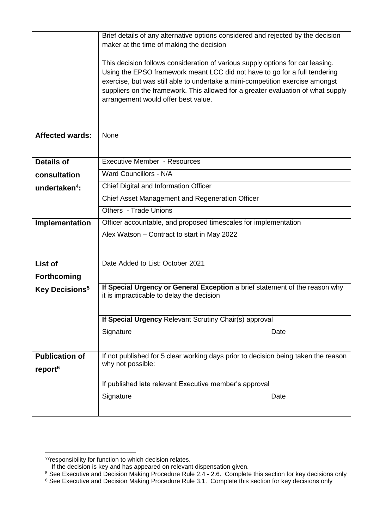|                            | Brief details of any alternative options considered and rejected by the decision   |  |  |  |  |
|----------------------------|------------------------------------------------------------------------------------|--|--|--|--|
|                            | maker at the time of making the decision                                           |  |  |  |  |
|                            |                                                                                    |  |  |  |  |
|                            | This decision follows consideration of various supply options for car leasing.     |  |  |  |  |
|                            | Using the EPSO framework meant LCC did not have to go for a full tendering         |  |  |  |  |
|                            | exercise, but was still able to undertake a mini-competition exercise amongst      |  |  |  |  |
|                            | suppliers on the framework. This allowed for a greater evaluation of what supply   |  |  |  |  |
|                            | arrangement would offer best value.                                                |  |  |  |  |
|                            |                                                                                    |  |  |  |  |
|                            |                                                                                    |  |  |  |  |
| <b>Affected wards:</b>     | None                                                                               |  |  |  |  |
|                            |                                                                                    |  |  |  |  |
|                            |                                                                                    |  |  |  |  |
| <b>Details of</b>          | <b>Executive Member - Resources</b>                                                |  |  |  |  |
| consultation               | Ward Councillors - N/A                                                             |  |  |  |  |
| undertaken <sup>4</sup> :  | Chief Digital and Information Officer                                              |  |  |  |  |
|                            | Chief Asset Management and Regeneration Officer                                    |  |  |  |  |
|                            | Others - Trade Unions                                                              |  |  |  |  |
| Implementation             | Officer accountable, and proposed timescales for implementation                    |  |  |  |  |
|                            | Alex Watson - Contract to start in May 2022                                        |  |  |  |  |
|                            |                                                                                    |  |  |  |  |
|                            |                                                                                    |  |  |  |  |
| List of                    | Date Added to List: October 2021                                                   |  |  |  |  |
| <b>Forthcoming</b>         |                                                                                    |  |  |  |  |
| Key Decisions <sup>5</sup> | If Special Urgency or General Exception a brief statement of the reason why        |  |  |  |  |
|                            | it is impracticable to delay the decision                                          |  |  |  |  |
|                            |                                                                                    |  |  |  |  |
|                            | If Special Urgency Relevant Scrutiny Chair(s) approval                             |  |  |  |  |
|                            | Signature<br>Date                                                                  |  |  |  |  |
|                            |                                                                                    |  |  |  |  |
| <b>Publication of</b>      | If not published for 5 clear working days prior to decision being taken the reason |  |  |  |  |
|                            | why not possible:                                                                  |  |  |  |  |
| report <sup>6</sup>        |                                                                                    |  |  |  |  |
|                            | If published late relevant Executive member's approval                             |  |  |  |  |
|                            | Signature<br>Date                                                                  |  |  |  |  |
|                            |                                                                                    |  |  |  |  |
|                            |                                                                                    |  |  |  |  |

<sup>1</sup> ??responsibility for function to which decision relates.

If the decision is key and has appeared on relevant dispensation given.

<sup>&</sup>lt;sup>5</sup> See Executive and Decision Making Procedure Rule 2.4 - 2.6. Complete this section for key decisions only

 $^6$  See Executive and Decision Making Procedure Rule 3.1. Complete this section for key decisions only